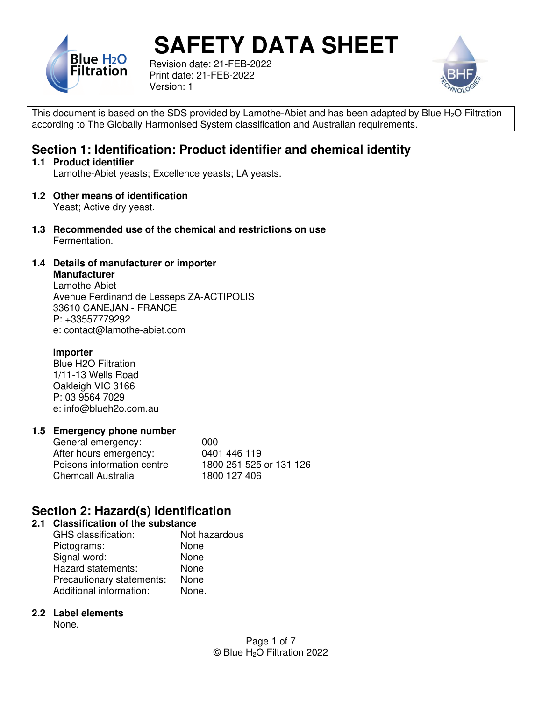

Revision date: 21-FEB-2022 Print date: 21-FEB-2022 Version: 1



This document is based on the SDS provided by Lamothe-Abiet and has been adapted by Blue  $H<sub>2</sub>O$  Filtration according to The Globally Harmonised System classification and Australian requirements.

## **Section 1: Identification: Product identifier and chemical identity**

#### **1.1 Product identifier**

Lamothe-Abiet yeasts; Excellence yeasts; LA yeasts.

**1.2 Other means of identification** 

Yeast; Active dry yeast.

**1.3 Recommended use of the chemical and restrictions on use**  Fermentation.

#### **1.4 Details of manufacturer or importer**

**Manufacturer**  Lamothe-Abiet Avenue Ferdinand de Lesseps ZA-ACTIPOLIS 33610 CANEJAN - FRANCE P: +33557779292 e: contact@lamothe-abiet.com

#### **Importer**

 Blue H2O Filtration 1/11-13 Wells Road Oakleigh VIC 3166 P: 03 9564 7029 e: info@blueh2o.com.au

#### **1.5 Emergency phone number**

| General emergency:         | 000                     |
|----------------------------|-------------------------|
| After hours emergency:     | 0401 446 119            |
| Poisons information centre | 1800 251 525 or 131 126 |
| <b>Chemcall Australia</b>  | 1800 127 406            |

## **Section 2: Hazard(s) identification**

#### **2.1 Classification of the substance**

| GHS classification:       | Not hazardous |
|---------------------------|---------------|
| Pictograms:               | None          |
| Signal word:              | None          |
| Hazard statements:        | None          |
| Precautionary statements: | None          |
| Additional information:   | None.         |

#### **2.2 Label elements**

None.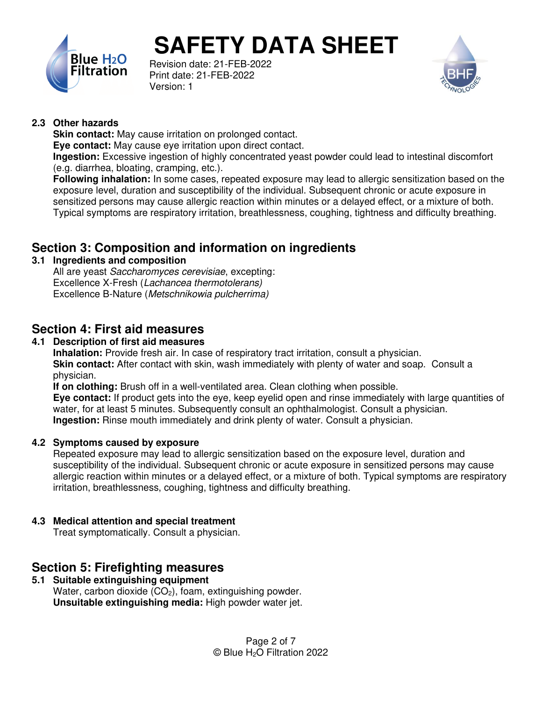

Revision date: 21-FEB-2022 Print date: 21-FEB-2022 Version: 1



#### **2.3 Other hazards**

**Skin contact:** May cause irritation on prolonged contact.

**Eye contact:** May cause eye irritation upon direct contact.

**Ingestion:** Excessive ingestion of highly concentrated yeast powder could lead to intestinal discomfort (e.g. diarrhea, bloating, cramping, etc.).

**Following inhalation:** In some cases, repeated exposure may lead to allergic sensitization based on the exposure level, duration and susceptibility of the individual. Subsequent chronic or acute exposure in sensitized persons may cause allergic reaction within minutes or a delayed effect, or a mixture of both. Typical symptoms are respiratory irritation, breathlessness, coughing, tightness and difficulty breathing.

## **Section 3: Composition and information on ingredients**

#### **3.1 Ingredients and composition**

All are yeast Saccharomyces cerevisiae, excepting: Excellence X-Fresh (Lachancea thermotolerans) Excellence B-Nature (Metschnikowia pulcherrima)

## **Section 4: First aid measures**

#### **4.1 Description of first aid measures**

**Inhalation:** Provide fresh air. In case of respiratory tract irritation, consult a physician. **Skin contact:** After contact with skin, wash immediately with plenty of water and soap. Consult a physician.

**If on clothing:** Brush off in a well-ventilated area. Clean clothing when possible.

**Eye contact:** If product gets into the eye, keep eyelid open and rinse immediately with large quantities of water, for at least 5 minutes. Subsequently consult an ophthalmologist. Consult a physician. **Ingestion:** Rinse mouth immediately and drink plenty of water. Consult a physician.

#### **4.2 Symptoms caused by exposure**

Repeated exposure may lead to allergic sensitization based on the exposure level, duration and susceptibility of the individual. Subsequent chronic or acute exposure in sensitized persons may cause allergic reaction within minutes or a delayed effect, or a mixture of both. Typical symptoms are respiratory irritation, breathlessness, coughing, tightness and difficulty breathing.

#### **4.3 Medical attention and special treatment**

Treat symptomatically. Consult a physician.

## **Section 5: Firefighting measures**

#### **5.1 Suitable extinguishing equipment**  Water, carbon dioxide  $(CO<sub>2</sub>)$ , foam, extinguishing powder. **Unsuitable extinguishing media:** High powder water jet.

Page 2 of 7 © Blue H2O Filtration 2022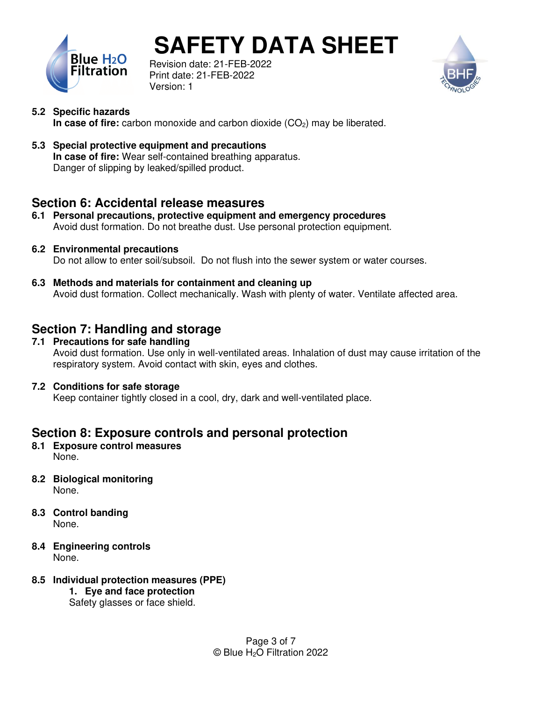

Revision date: 21-FEB-2022 Print date: 21-FEB-2022 Version: 1



- **5.2 Specific hazards In case of fire:** carbon monoxide and carbon dioxide (CO<sub>2</sub>) may be liberated.
- **5.3 Special protective equipment and precautions In case of fire:** Wear self-contained breathing apparatus. Danger of slipping by leaked/spilled product.

## **Section 6: Accidental release measures**

- **6.1 Personal precautions, protective equipment and emergency procedures**  Avoid dust formation. Do not breathe dust. Use personal protection equipment.
- **6.2 Environmental precautions**  Do not allow to enter soil/subsoil. Do not flush into the sewer system or water courses.
- **6.3 Methods and materials for containment and cleaning up**  Avoid dust formation. Collect mechanically. Wash with plenty of water. Ventilate affected area.

## **Section 7: Handling and storage**

**7.1 Precautions for safe handling**  Avoid dust formation. Use only in well-ventilated areas. Inhalation of dust may cause irritation of the respiratory system. Avoid contact with skin, eyes and clothes.

#### **7.2 Conditions for safe storage**

Keep container tightly closed in a cool, dry, dark and well-ventilated place.

## **Section 8: Exposure controls and personal protection**

- **8.1 Exposure control measures**  None.
- **8.2 Biological monitoring**  None.
- **8.3 Control banding**  None.
- **8.4 Engineering controls**  None.
- **8.5 Individual protection measures (PPE)** 
	- **1. Eye and face protection**  Safety glasses or face shield.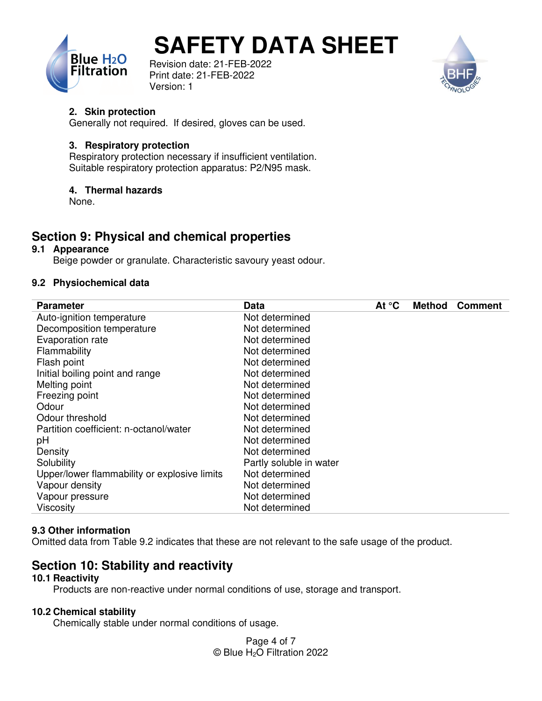





#### **2. Skin protection**

Generally not required. If desired, gloves can be used.

#### **3. Respiratory protection**

Respiratory protection necessary if insufficient ventilation. Suitable respiratory protection apparatus: P2/N95 mask.

#### **4. Thermal hazards**

None.

## **Section 9: Physical and chemical properties**

#### **9.1 Appearance**

Beige powder or granulate. Characteristic savoury yeast odour.

#### **9.2 Physiochemical data**

| <b>Parameter</b>                             | Data                    | At $\degree$ C | <b>Method</b> | <b>Comment</b> |
|----------------------------------------------|-------------------------|----------------|---------------|----------------|
| Auto-ignition temperature                    | Not determined          |                |               |                |
| Decomposition temperature                    | Not determined          |                |               |                |
| Evaporation rate                             | Not determined          |                |               |                |
| Flammability                                 | Not determined          |                |               |                |
| Flash point                                  | Not determined          |                |               |                |
| Initial boiling point and range              | Not determined          |                |               |                |
| Melting point                                | Not determined          |                |               |                |
| Freezing point                               | Not determined          |                |               |                |
| Odour                                        | Not determined          |                |               |                |
| Odour threshold                              | Not determined          |                |               |                |
| Partition coefficient: n-octanol/water       | Not determined          |                |               |                |
| pH                                           | Not determined          |                |               |                |
| Density                                      | Not determined          |                |               |                |
| Solubility                                   | Partly soluble in water |                |               |                |
| Upper/lower flammability or explosive limits | Not determined          |                |               |                |
| Vapour density                               | Not determined          |                |               |                |
| Vapour pressure                              | Not determined          |                |               |                |
| Viscosity                                    | Not determined          |                |               |                |

#### **9.3 Other information**

Omitted data from Table 9.2 indicates that these are not relevant to the safe usage of the product.

## **Section 10: Stability and reactivity**

#### **10.1 Reactivity**

Products are non-reactive under normal conditions of use, storage and transport.

#### **10.2 Chemical stability**

Chemically stable under normal conditions of usage.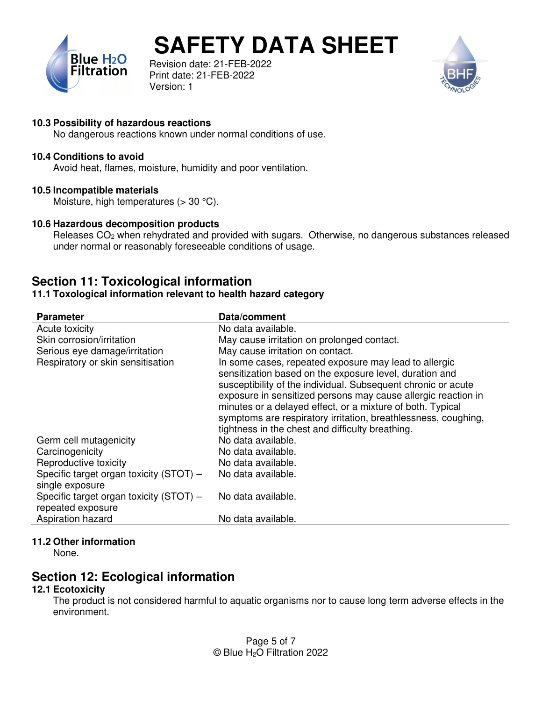

Revision date: 21-FEB-2022 Print date: 21-FEB-2022 Version: 1



#### **10.3 Possibility of hazardous reactions**

No dangerous reactions known under normal conditions of use.

#### **10.4 Conditions to avoid**

Avoid heat, flames, moisture, humidity and poor ventilation.

#### **10.5 Incompatible materials**

Moisture, high temperatures  $(>30 \degree C)$ .

#### **10.6 Hazardous decomposition products**

Releases CO<sub>2</sub> when rehydrated and provided with sugars. Otherwise, no dangerous substances released under normal or reasonably foreseeable conditions of usage.

### **Section 11: Toxicological information**

#### **11.1 Toxological information relevant to health hazard category**

| <b>Parameter</b>                        | Data/comment                                                   |
|-----------------------------------------|----------------------------------------------------------------|
| Acute toxicity                          | No data available.                                             |
| Skin corrosion/irritation               | May cause irritation on prolonged contact.                     |
| Serious eye damage/irritation           | May cause irritation on contact.                               |
| Respiratory or skin sensitisation       | In some cases, repeated exposure may lead to allergic          |
|                                         | sensitization based on the exposure level, duration and        |
|                                         | susceptibility of the individual. Subsequent chronic or acute  |
|                                         | exposure in sensitized persons may cause allergic reaction in  |
|                                         | minutes or a delayed effect, or a mixture of both. Typical     |
|                                         | symptoms are respiratory irritation, breathlessness, coughing, |
|                                         | tightness in the chest and difficulty breathing.               |
| Germ cell mutagenicity                  | No data available.                                             |
| Carcinogenicity                         | No data available.                                             |
| Reproductive toxicity                   | No data available.                                             |
| Specific target organ toxicity (STOT) - | No data available.                                             |
| single exposure                         |                                                                |
| Specific target organ toxicity (STOT) – | No data available.                                             |
| repeated exposure                       |                                                                |
| Aspiration hazard                       | No data available.                                             |

#### **11.2 Other information**

None.

### **Section 12: Ecological information**

#### **12.1 Ecotoxicity**

The product is not considered harmful to aquatic organisms nor to cause long term adverse effects in the environment.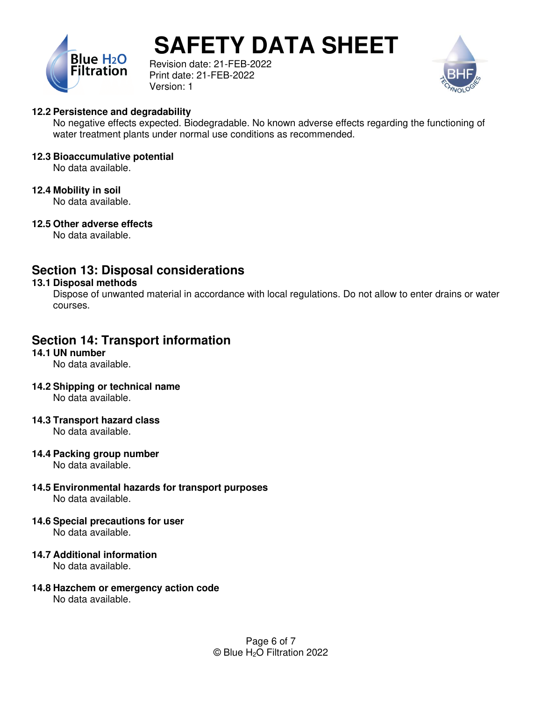

Revision date: 21-FEB-2022 Print date: 21-FEB-2022 Version: 1



#### **12.2 Persistence and degradability**

No negative effects expected. Biodegradable. No known adverse effects regarding the functioning of water treatment plants under normal use conditions as recommended.

#### **12.3 Bioaccumulative potential**

No data available.

#### **12.4 Mobility in soil**

No data available.

#### **12.5 Other adverse effects**

No data available.

## **Section 13: Disposal considerations**

#### **13.1 Disposal methods**

Dispose of unwanted material in accordance with local regulations. Do not allow to enter drains or water courses.

## **Section 14: Transport information**

#### **14.1 UN number**

No data available.

**14.2 Shipping or technical name** 

No data available.

#### **14.3 Transport hazard class**

No data available.

#### **14.4 Packing group number**

No data available.

- **14.5 Environmental hazards for transport purposes**  No data available.
- **14.6 Special precautions for user**  No data available.
- **14.7 Additional information**

No data available.

**14.8 Hazchem or emergency action code**  No data available.